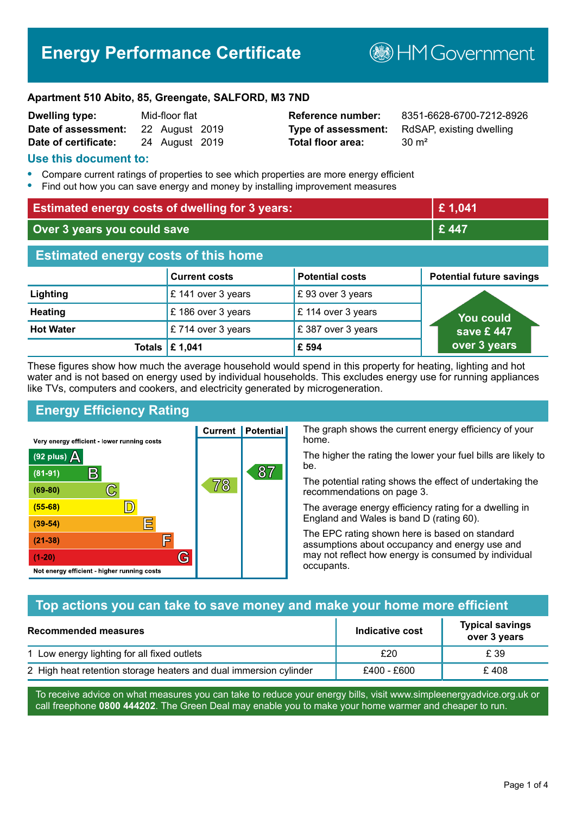## **Energy Performance Certificate**

**B**HMGovernment

#### **Apartment 510 Abito, 85, Greengate, SALFORD, M3 7ND**

| <b>Dwelling type:</b> | Mid-floor flat |                |  |
|-----------------------|----------------|----------------|--|
| Date of assessment:   |                | 22 August 2019 |  |
| Date of certificate:  |                | 24 August 2019 |  |

# **Total floor area:** 30 m<sup>2</sup>

**Reference number:** 8351-6628-6700-7212-8926 **Type of assessment:** RdSAP, existing dwelling

#### **Use this document to:**

- **•** Compare current ratings of properties to see which properties are more energy efficient
- **•** Find out how you can save energy and money by installing improvement measures

| <b>Estimated energy costs of dwelling for 3 years:</b> |                           | £1,041                 |                                 |
|--------------------------------------------------------|---------------------------|------------------------|---------------------------------|
| Over 3 years you could save                            |                           | £447                   |                                 |
| <b>Estimated energy costs of this home</b>             |                           |                        |                                 |
|                                                        | <b>Current costs</b>      | <b>Potential costs</b> | <b>Potential future savings</b> |
| Lighting                                               | £ 141 over 3 years        | £93 over 3 years       |                                 |
| <b>Heating</b>                                         | £186 over 3 years         | £ 114 over 3 years     | <b>You could</b>                |
| <b>Hot Water</b>                                       | £714 over 3 years         | £387 over 3 years      | save £447                       |
|                                                        | Totals $\mathsf{E}$ 1,041 | £ 594                  | over 3 years                    |

These figures show how much the average household would spend in this property for heating, lighting and hot water and is not based on energy used by individual households. This excludes energy use for running appliances like TVs, computers and cookers, and electricity generated by microgeneration.

**Current | Potential** 

78

87

#### **Energy Efficiency Rating**

C

 $\mathbb{D}$ 

E

肩

G

Very energy efficient - lower running costs

 $\mathsf{R}% _{T}$ 

Not energy efficient - higher running costs

(92 plus)  $\Delta$ 

 $(81 - 91)$ 

 $(69 - 80)$ 

 $(55-68)$  $(39-54)$ 

 $(21-38)$ 

 $(1-20)$ 

The graph shows the current energy efficiency of your home.

The higher the rating the lower your fuel bills are likely to be.

The potential rating shows the effect of undertaking the recommendations on page 3.

The average energy efficiency rating for a dwelling in England and Wales is band D (rating 60).

The EPC rating shown here is based on standard assumptions about occupancy and energy use and may not reflect how energy is consumed by individual occupants.

#### **Top actions you can take to save money and make your home more efficient**

| <b>Recommended measures</b>                                       | <b>Indicative cost</b> | <b>Typical savings</b><br>over 3 years |
|-------------------------------------------------------------------|------------------------|----------------------------------------|
| 1 Low energy lighting for all fixed outlets                       | £20                    | £ 39                                   |
| 2 High heat retention storage heaters and dual immersion cylinder | £400 - £600            | £408                                   |

To receive advice on what measures you can take to reduce your energy bills, visit www.simpleenergyadvice.org.uk or call freephone **0800 444202**. The Green Deal may enable you to make your home warmer and cheaper to run.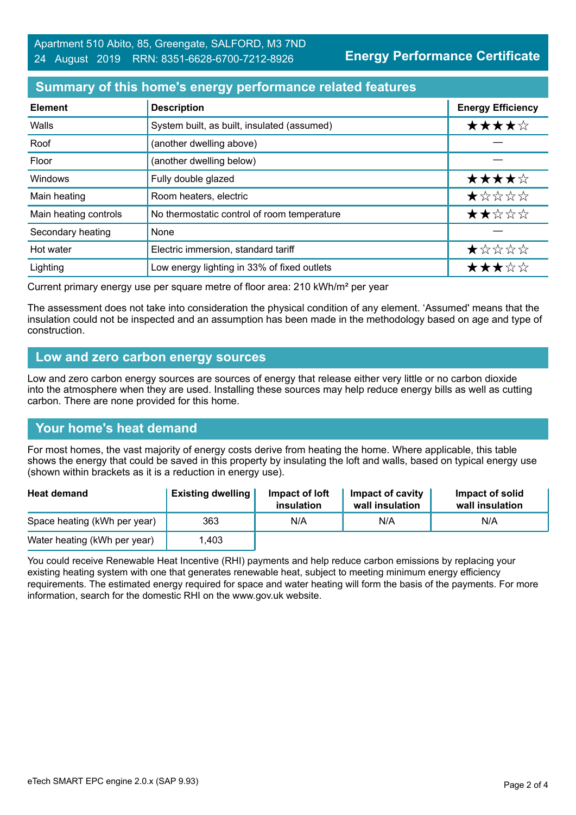#### **Summary of this home's energy performance related features**

| <b>Element</b>        | <b>Description</b>                          | <b>Energy Efficiency</b> |
|-----------------------|---------------------------------------------|--------------------------|
| Walls                 | System built, as built, insulated (assumed) | ★★★★☆                    |
| Roof                  | (another dwelling above)                    |                          |
| Floor                 | (another dwelling below)                    |                          |
| Windows               | Fully double glazed                         | ★★★★☆                    |
| Main heating          | Room heaters, electric                      | ★☆☆☆☆                    |
| Main heating controls | No thermostatic control of room temperature | ★★☆☆☆                    |
| Secondary heating     | None                                        |                          |
| Hot water             | Electric immersion, standard tariff         | *****                    |
| Lighting              | Low energy lighting in 33% of fixed outlets | ★★★☆☆                    |

Current primary energy use per square metre of floor area: 210 kWh/m² per year

The assessment does not take into consideration the physical condition of any element. 'Assumed' means that the insulation could not be inspected and an assumption has been made in the methodology based on age and type of construction.

#### **Low and zero carbon energy sources**

Low and zero carbon energy sources are sources of energy that release either very little or no carbon dioxide into the atmosphere when they are used. Installing these sources may help reduce energy bills as well as cutting carbon. There are none provided for this home.

#### **Your home's heat demand**

For most homes, the vast majority of energy costs derive from heating the home. Where applicable, this table shows the energy that could be saved in this property by insulating the loft and walls, based on typical energy use (shown within brackets as it is a reduction in energy use).

| <b>Heat demand</b>           | <b>Existing dwelling</b> | Impact of loft<br>insulation | Impact of cavity<br>wall insulation | Impact of solid<br>wall insulation |
|------------------------------|--------------------------|------------------------------|-------------------------------------|------------------------------------|
| Space heating (kWh per year) | 363                      | N/A                          | N/A                                 | N/A                                |
| Water heating (kWh per year) | .403                     |                              |                                     |                                    |

You could receive Renewable Heat Incentive (RHI) payments and help reduce carbon emissions by replacing your existing heating system with one that generates renewable heat, subject to meeting minimum energy efficiency requirements. The estimated energy required for space and water heating will form the basis of the payments. For more information, search for the domestic RHI on the www.gov.uk website.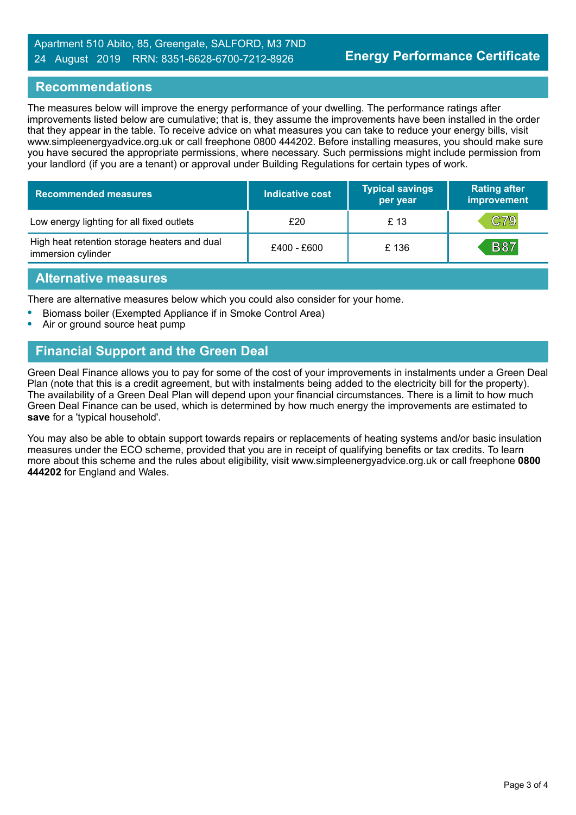#### Apartment 510 Abito, 85, Greengate, SALFORD, M3 7ND 24 August 2019 RRN: 8351-6628-6700-7212-8926

#### **Recommendations**

The measures below will improve the energy performance of your dwelling. The performance ratings after improvements listed below are cumulative; that is, they assume the improvements have been installed in the order that they appear in the table. To receive advice on what measures you can take to reduce your energy bills, visit www.simpleenergyadvice.org.uk or call freephone 0800 444202. Before installing measures, you should make sure you have secured the appropriate permissions, where necessary. Such permissions might include permission from your landlord (if you are a tenant) or approval under Building Regulations for certain types of work.

| <b>Recommended measures</b>                                        | <b>Indicative cost</b> | <b>Typical savings</b><br>per year | <b>Rating after</b><br>improvement |
|--------------------------------------------------------------------|------------------------|------------------------------------|------------------------------------|
| Low energy lighting for all fixed outlets                          | £20                    | £ 13                               | C79                                |
| High heat retention storage heaters and dual<br>immersion cylinder | £400 - £600            | £136                               | <b>B87</b>                         |

#### **Alternative measures**

There are alternative measures below which you could also consider for your home.

- **•** Biomass boiler (Exempted Appliance if in Smoke Control Area)
- **•** Air or ground source heat pump

### **Financial Support and the Green Deal**

Green Deal Finance allows you to pay for some of the cost of your improvements in instalments under a Green Deal Plan (note that this is a credit agreement, but with instalments being added to the electricity bill for the property). The availability of a Green Deal Plan will depend upon your financial circumstances. There is a limit to how much Green Deal Finance can be used, which is determined by how much energy the improvements are estimated to **save** for a 'typical household'.

You may also be able to obtain support towards repairs or replacements of heating systems and/or basic insulation measures under the ECO scheme, provided that you are in receipt of qualifying benefits or tax credits. To learn more about this scheme and the rules about eligibility, visit www.simpleenergyadvice.org.uk or call freephone **0800 444202** for England and Wales.